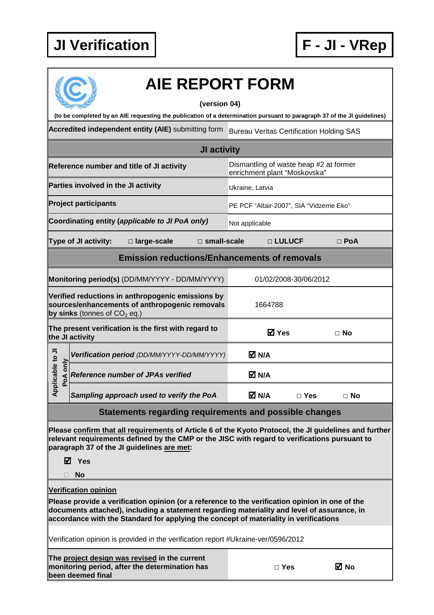

|                                                                                                                                         | <b>AIE REPORT FORM</b>                                                                                                                                                                                                                                                                                                 |                                                                        |                                         |            |  |  |  |
|-----------------------------------------------------------------------------------------------------------------------------------------|------------------------------------------------------------------------------------------------------------------------------------------------------------------------------------------------------------------------------------------------------------------------------------------------------------------------|------------------------------------------------------------------------|-----------------------------------------|------------|--|--|--|
| (version 04)<br>(to be completed by an AIE requesting the publication of a determination pursuant to paragraph 37 of the JI guidelines) |                                                                                                                                                                                                                                                                                                                        |                                                                        |                                         |            |  |  |  |
|                                                                                                                                         | Accredited independent entity (AIE) submitting form                                                                                                                                                                                                                                                                    | <b>Bureau Veritas Certification Holding SAS</b>                        |                                         |            |  |  |  |
|                                                                                                                                         | <b>JI activity</b>                                                                                                                                                                                                                                                                                                     |                                                                        |                                         |            |  |  |  |
|                                                                                                                                         | Reference number and title of JI activity                                                                                                                                                                                                                                                                              | Dismantling of waste heap #2 at former<br>enrichment plant "Moskovska" |                                         |            |  |  |  |
|                                                                                                                                         | Parties involved in the JI activity                                                                                                                                                                                                                                                                                    | Ukraine, Latvia                                                        |                                         |            |  |  |  |
|                                                                                                                                         | <b>Project participants</b>                                                                                                                                                                                                                                                                                            |                                                                        | PE PCF "Altair-2007", SIA "Vidzeme Eko" |            |  |  |  |
|                                                                                                                                         | Coordinating entity (applicable to JI PoA only)                                                                                                                                                                                                                                                                        | Not applicable                                                         |                                         |            |  |  |  |
|                                                                                                                                         | $\Box$ small-scale<br><b>Type of JI activity:</b><br>□ large-scale                                                                                                                                                                                                                                                     |                                                                        | □ LULUCF                                | $\Box$ PoA |  |  |  |
|                                                                                                                                         | <b>Emission reductions/Enhancements of removals</b>                                                                                                                                                                                                                                                                    |                                                                        |                                         |            |  |  |  |
|                                                                                                                                         | Monitoring period(s) (DD/MM/YYYY - DD/MM/YYYY)                                                                                                                                                                                                                                                                         |                                                                        | 01/02/2008-30/06/2012                   |            |  |  |  |
|                                                                                                                                         | Verified reductions in anthropogenic emissions by<br>sources/enhancements of anthropogenic removals<br>by sinks (tonnes of $CO2$ eq.)                                                                                                                                                                                  | 1664788                                                                |                                         |            |  |  |  |
|                                                                                                                                         | The present verification is the first with regard to<br>the JI activity                                                                                                                                                                                                                                                | <b>☑</b> Yes                                                           |                                         | $\Box$ No  |  |  |  |
|                                                                                                                                         | Verification period (DD/MM/YYYY-DD/MM/YYYY)                                                                                                                                                                                                                                                                            | M N/A                                                                  |                                         |            |  |  |  |
| pplicable to JI<br>$\sum_{i=1}^{n}$<br>PoA                                                                                              | <b>Reference number of JPAs verified</b>                                                                                                                                                                                                                                                                               | M N/A                                                                  |                                         |            |  |  |  |
| ∢                                                                                                                                       | Sampling approach used to verify the PoA                                                                                                                                                                                                                                                                               | M N/A                                                                  | $\square$ Yes                           | $\Box$ No  |  |  |  |
|                                                                                                                                         | <b>Statements regarding requirements and possible changes</b>                                                                                                                                                                                                                                                          |                                                                        |                                         |            |  |  |  |
|                                                                                                                                         | Please confirm that all requirements of Article 6 of the Kyoto Protocol, the JI guidelines and further<br>relevant requirements defined by the CMP or the JISC with regard to verifications pursuant to<br>paragraph 37 of the JI guidelines are met:<br>⊠ Yes<br><b>No</b>                                            |                                                                        |                                         |            |  |  |  |
|                                                                                                                                         |                                                                                                                                                                                                                                                                                                                        |                                                                        |                                         |            |  |  |  |
|                                                                                                                                         | <b>Verification opinion</b><br>Please provide a verification opinion (or a reference to the verification opinion in one of the<br>documents attached), including a statement regarding materiality and level of assurance, in<br>accordance with the Standard for applying the concept of materiality in verifications |                                                                        |                                         |            |  |  |  |
|                                                                                                                                         | Verification opinion is provided in the verification report #Ukraine-ver/0596/2012                                                                                                                                                                                                                                     |                                                                        |                                         |            |  |  |  |
|                                                                                                                                         | The project design was revised in the current<br>monitoring period, after the determination has                                                                                                                                                                                                                        | $\Box$ Yes                                                             |                                         | ⊠ No       |  |  |  |

**monitoring period, after the determination has been deemed final**